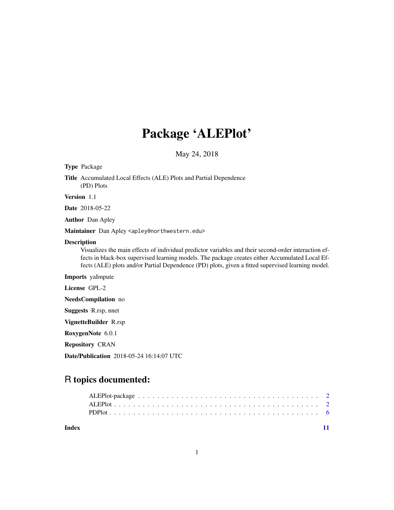# Package 'ALEPlot'

May 24, 2018

Type Package

Title Accumulated Local Effects (ALE) Plots and Partial Dependence (PD) Plots

Version 1.1

Date 2018-05-22

Author Dan Apley

Maintainer Dan Apley <apley@northwestern.edu>

#### Description

Visualizes the main effects of individual predictor variables and their second-order interaction effects in black-box supervised learning models. The package creates either Accumulated Local Effects (ALE) plots and/or Partial Dependence (PD) plots, given a fitted supervised learning model.

Imports yaImpute

License GPL-2

NeedsCompilation no

Suggests R.rsp, nnet

VignetteBuilder R.rsp

RoxygenNote 6.0.1

Repository CRAN

Date/Publication 2018-05-24 16:14:07 UTC

## R topics documented:

**Index** [11](#page-10-0)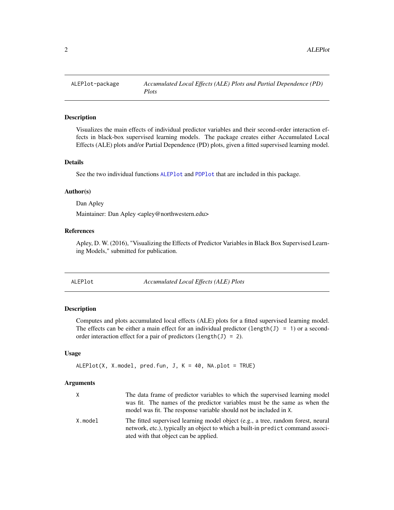<span id="page-1-0"></span>

#### Description

Visualizes the main effects of individual predictor variables and their second-order interaction effects in black-box supervised learning models. The package creates either Accumulated Local Effects (ALE) plots and/or Partial Dependence (PD) plots, given a fitted supervised learning model.

#### Details

See the two individual functions [ALEPlot](#page-1-1) and [PDPlot](#page-5-1) that are included in this package.

#### Author(s)

Dan Apley

Maintainer: Dan Apley <apley@northwestern.edu>

#### References

Apley, D. W. (2016), "Visualizing the Effects of Predictor Variables in Black Box Supervised Learning Models," submitted for publication.

<span id="page-1-1"></span>

| ALEPlot |  |
|---------|--|
|---------|--|

Accumulated *Local Effects* (ALE) Plots

#### Description

Computes and plots accumulated local effects (ALE) plots for a fitted supervised learning model. The effects can be either a main effect for an individual predictor (length(J) = 1) or a secondorder interaction effect for a pair of predictors (length(J) = 2).

#### Usage

```
ALEPlot(X, X. model, pred.fun, J, K = 40, NA.plot = TRUE)
```
#### Arguments

| X       | The data frame of predictor variables to which the supervised learning model<br>was fit. The names of the predictor variables must be the same as when the<br>model was fit. The response variable should not be included in X. |
|---------|---------------------------------------------------------------------------------------------------------------------------------------------------------------------------------------------------------------------------------|
| X.model | The fitted supervised learning model object (e.g., a tree, random forest, neural<br>network, etc.), typically an object to which a built-in predict command associ-<br>ated with that object can be applied.                    |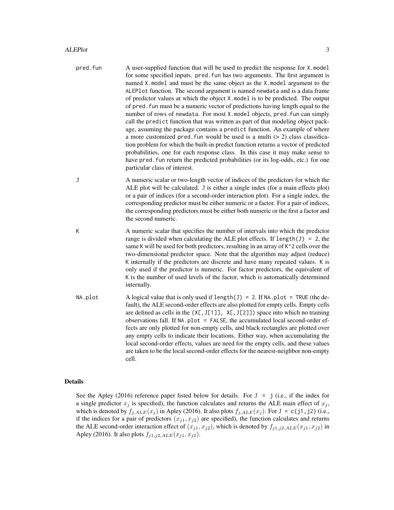- pred.fun A user-supplied function that will be used to predict the response for X.model for some specified inputs. pred. fun has two arguments. The first argument is named X.model and must be the same object as the X.model argument to the ALEPlot function. The second argument is named newdata and is a data frame of predictor values at which the object X.model is to be predicted. The output of pred.fun must be a numeric vector of predictions having length equal to the number of rows of newdata. For most X.model objects, pred.fun can simply call the predict function that was written as part of that modeling object package, assuming the package contains a predict function. An example of where a more customized pred. fun would be used is a multi  $(> 2)$  class classification problem for which the built-in predict function returns a vector of predicted probabilities, one for each response class. In this case it may make sense to have pred. fun return the predicted probabilities (or its log-odds, etc.) for one particular class of interest.
- J A numeric scalar or two-length vector of indices of the predictors for which the ALE plot will be calculated. J is either a single index (for a main effects plot) or a pair of indices (for a second-order interaction plot). For a single index, the corresponding predictor must be either numeric or a factor. For a pair of indices, the corresponding predictors must be either both numeric or the first a factor and the second numeric.
- K A numeric scalar that specifies the number of intervals into which the predictor range is divided when calculating the ALE plot effects. If length(J) = 2, the same K will be used for both predictors, resulting in an array of K<sup> $\lambda$ </sup> 2 cells over the two-dimensional predictor space. Note that the algorithm may adjust (reduce) K internally if the predictors are discrete and have many repeated values. K is only used if the predictor is numeric. For factor predictors, the equivalent of K is the number of used levels of the factor, which is automatically determined internally.
- NA.plot A logical value that is only used if length(J) = 2. If NA.plot = TRUE (the default), the ALE second-order effects are also plotted for empty cells. Empty cells are defined as cells in the  $(X[, J[1]]$ ,  $X[, J[2]]$ ) space into which no training observations fall. If NA.plot = FALSE, the accumulated local second-order effects are only plotted for non-empty cells, and black rectangles are plotted over any empty cells to indicate their locations. Either way, when accumulating the local second-order effects, values are need for the empty cells, and these values are taken to be the local second-order effects for the nearest-neighbor non-empty cell.

#### Details

See the Apley (2016) reference paper listed below for details. For  $J = j$  (i.e., if the index for a single predictor  $x_j$  is specified), the function calculates and returns the ALE main effect of  $x_j$ , which is denoted by  $f_{j,ALE}(x_j)$  in Apley (2016). It also plots  $f_{j,ALE}(x_j)$ . For J = c(j1,j2) (i.e., if the indices for a pair of predictors  $(x<sub>j1</sub>, x<sub>j2</sub>)$  are specified), the function calculates and returns the ALE second-order interaction effect of  $(x_{j1}, x_{j2})$ , which is denoted by  $f_{j1,j2,ALE}(x_{j1}, x_{j2})$  in Apley (2016). It also plots  $f_{j1,j2,ALE}(x_{j1}, x_{j2})$ .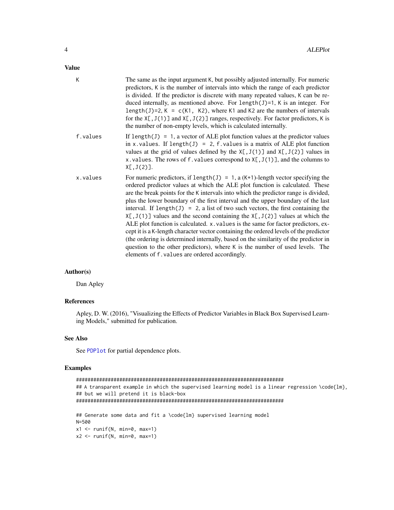#### <span id="page-3-0"></span>Value

| K        | The same as the input argument K, but possibly adjusted internally. For numeric<br>predictors, K is the number of intervals into which the range of each predictor<br>is divided. If the predictor is discrete with many repeated values, K can be re-<br>duced internally, as mentioned above. For $l$ ength $(J)$ =1, K is an integer. For<br>length(J)=2, K = $c(K1, K2)$ , where K1 and K2 are the numbers of intervals<br>for the $X[, J(1)]$ and $X[, J(2)]$ ranges, respectively. For factor predictors, K is<br>the number of non-empty levels, which is calculated internally.                                                                                                                                                                                                                                                                                                                                         |
|----------|---------------------------------------------------------------------------------------------------------------------------------------------------------------------------------------------------------------------------------------------------------------------------------------------------------------------------------------------------------------------------------------------------------------------------------------------------------------------------------------------------------------------------------------------------------------------------------------------------------------------------------------------------------------------------------------------------------------------------------------------------------------------------------------------------------------------------------------------------------------------------------------------------------------------------------|
| f.values | If length(J) = 1, a vector of ALE plot function values at the predictor values<br>in x. values. If length(J) = 2, $f$ . values is a matrix of ALE plot function<br>values at the grid of values defined by the $X[, J(1)]$ and $X[, J(2)]$ values in<br>x. values. The rows of f. values correspond to $X[, J(1)],$ and the columns to<br>X[, J(2)].                                                                                                                                                                                                                                                                                                                                                                                                                                                                                                                                                                            |
| x.values | For numeric predictors, if length(J) = 1, a $(K+1)$ -length vector specifying the<br>ordered predictor values at which the ALE plot function is calculated. These<br>are the break points for the K intervals into which the predictor range is divided,<br>plus the lower boundary of the first interval and the upper boundary of the last<br>interval. If length( $J$ ) = 2, a list of two such vectors, the first containing the<br>$X[, J(1)]$ values and the second containing the $X[, J(2)]$ values at which the<br>ALE plot function is calculated. x. values is the same for factor predictors, ex-<br>cept it is a K-length character vector containing the ordered levels of the predictor<br>(the ordering is determined internally, based on the similarity of the predictor in<br>question to the other predictors), where K is the number of used levels. The<br>elements of f. values are ordered accordingly. |

#### Author(s)

Dan Apley

#### References

Apley, D. W. (2016), "Visualizing the Effects of Predictor Variables in Black Box Supervised Learning Models," submitted for publication.

#### See Also

See [PDPlot](#page-5-1) for partial dependence plots.

#### Examples

```
########################################################################
## A transparent example in which the supervised learning model is a linear regression \code{lm},
## but we will pretend it is black-box
########################################################################
## Generate some data and fit a \code{lm} supervised learning model
N=500
x1 \le runif(N, min=0, max=1)
x2 \le runif(N, min=0, max=1)
```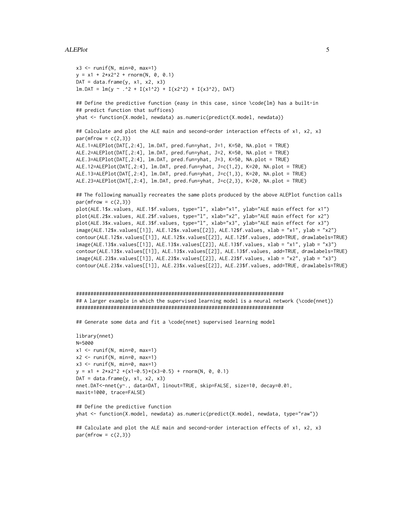#### ALEPlot 5

```
x3 \le runif(N, min=0, max=1)
y = x1 + 2*x2^2 + \text{rnorm}(N, 0, 0.1)DAT = data.frame(y, x1, x2, x3)lm.DAT = lm(y ~ ~ . ~^2 + I(x1^2) + I(x2^2) + I(x3^2), DAT)
```
## Define the predictive function (easy in this case, since \code{lm} has a built-in ## predict function that suffices) yhat <- function(X.model, newdata) as.numeric(predict(X.model, newdata))

```
## Calculate and plot the ALE main and second-order interaction effects of x1, x2, x3
par(mfrow = c(2,3))ALE.1=ALEPlot(DAT[,2:4], lm.DAT, pred.fun=yhat, J=1, K=50, NA.plot = TRUE)
ALE.2=ALEPlot(DAT[,2:4], lm.DAT, pred.fun=yhat, J=2, K=50, NA.plot = TRUE)
ALE.3=ALEPlot(DAT[,2:4], lm.DAT, pred.fun=yhat, J=3, K=50, NA.plot = TRUE)
ALE.12=ALEPlot(DAT[,2:4], lm.DAT, pred.fun=yhat, J=c(1,2), K=20, NA.plot = TRUE)
ALE.13=ALEPlot(DAT[,2:4], lm.DAT, pred.fun=yhat, J=c(1,3), K=20, NA.plot = TRUE)
ALE.23=ALEPlot(DAT[,2:4], lm.DAT, pred.fun=yhat, J=c(2,3), K=20, NA.plot = TRUE)
```
## The following manually recreates the same plots produced by the above ALEPlot function calls  $par(mfrow = c(2,3))$ 

plot(ALE.1\$x.values, ALE.1\$f.values, type="l", xlab="x1", ylab="ALE main effect for x1") plot(ALE.2\$x.values, ALE.2\$f.values, type="l", xlab="x2", ylab="ALE main effect for x2") plot(ALE.3\$x.values, ALE.3\$f.values, type="l", xlab="x3", ylab="ALE main effect for x3") image(ALE.12\$x.values[[1]], ALE.12\$x.values[[2]], ALE.12\$f.values, xlab = "x1", ylab = "x2") contour(ALE.12\$x.values[[1]], ALE.12\$x.values[[2]], ALE.12\$f.values, add=TRUE, drawlabels=TRUE) image(ALE.13\$x.values[[1]], ALE.13\$x.values[[2]], ALE.13\$f.values, xlab = "x1", ylab = "x3") contour(ALE.13\$x.values[[1]], ALE.13\$x.values[[2]], ALE.13\$f.values, add=TRUE, drawlabels=TRUE) image(ALE.23\$x.values[[1]], ALE.23\$x.values[[2]], ALE.23\$f.values, xlab = "x2", ylab = "x3") contour(ALE.23\$x.values[[1]], ALE.23\$x.values[[2]], ALE.23\$f.values, add=TRUE, drawlabels=TRUE)

```
########################################################################
## A larger example in which the supervised learning model is a neural network (\code{nnet})
########################################################################
```
## Generate some data and fit a \code{nnet} supervised learning model

```
library(nnet)
N=5000
x1 \leftarrow runif(N, min=0, max=1)x2 \le runif(N, min=0, max=1)
x3 \le runif(N, min=0, max=1)
y = x1 + 2*x2^2 + (x1-0.5)*(x3-0.5) + rnorm(N, 0, 0.1)DAT = data.frame(y, x1, x2, x3)nnet.DAT<-nnet(y~., data=DAT, linout=TRUE, skip=FALSE, size=10, decay=0.01,
maxit=1000, trace=FALSE)
```

```
## Define the predictive function
yhat <- function(X.model, newdata) as.numeric(predict(X.model, newdata, type="raw"))
```

```
## Calculate and plot the ALE main and second-order interaction effects of x1, x2, x3
par(mfrow = c(2,3))
```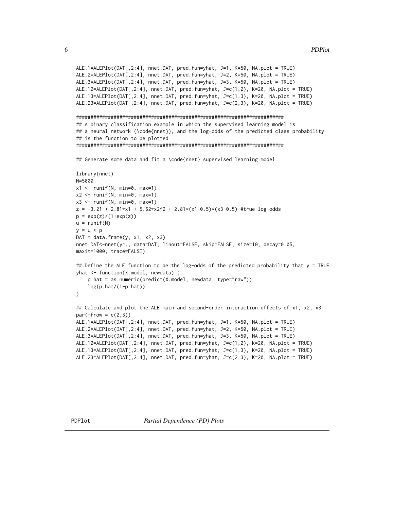```
ALE.1=ALEPlot(DAT[,2:4], nnet.DAT, pred.fun=yhat, J=1, K=50, NA.plot = TRUE)
ALE.2=ALEPlot(DAT[,2:4], nnet.DAT, pred.fun=yhat, J=2, K=50, NA.plot = TRUE)
ALE.3=ALEPlot(DAT[,2:4], nnet.DAT, pred.fun=yhat, J=3, K=50, NA.plot = TRUE)
ALE.12=ALEPlot(DAT[,2:4], nnet.DAT, pred.fun=yhat, J=c(1,2), K=20, NA.plot = TRUE)
ALE.13=ALEPlot(DAT[,2:4], nnet.DAT, pred.fun=yhat, J=c(1,3), K=20, NA.plot = TRUE)
ALE.23=ALEPlot(DAT[,2:4], nnet.DAT, pred.fun=yhat, J=c(2,3), K=20, NA.plot = TRUE)
## A binary classification example in which the supervised learning model is
## a neural network (\code{nnet}), and the log-odds of the predicted class probability
## is the function to be plotted
## Generate some data and fit a \code{nnet} supervised learning model
library(nnet)
N=5000
x1 \leftarrow runif(N, min=0, max=1)x2 \le runif(N, min=0, max=1)
x3 \le runif(N, min=0, max=1)
z = -3.21 + 2.81*x1 + 5.62*x2^2 + 2.81*(x1-0.5)*(x3-0.5) #true log-odds
p = exp(z)/(1+exp(z))u = runif(N)y = u < pDAT = data.frame(y, x1, x2, x3)
nnet.DAT<-nnet(y~., data=DAT, linout=FALSE, skip=FALSE, size=10, decay=0.05,
maxit=1000, trace=FALSE)
## Define the ALE function to be the log-odds of the predicted probability that y = TRUE
yhat <- function(X.model, newdata) {
   p.hat = as.numeric(predict(X.model, newdata, type="raw"))log(p.hat/(1-p.hat))\mathcal{E}## Calculate and plot the ALE main and second-order interaction effects of x1, x2, x3
par(mfrow = c(2,3))ALE.1=ALEPlot(DAT[,2:4], nnet.DAT, pred.fun=yhat, J=1, K=50, NA.plot = TRUE)
ALE.2=ALEPlot(DAT[,2:4], nnet.DAT, pred.fun=yhat, J=2, K=50, NA.plot = TRUE)
ALE.3=ALEPlot(DAT[,2:4], nnet.DAT, pred.fun=yhat, J=3, K=50, NA.plot = TRUE)
ALE.12=ALEPlot(DAT[,2:4], nnet.DAT, pred.fun=yhat, J=c(1,2), K=20, NA.plot = TRUE)
ALE.13=ALEPlot(DAT[,2:4], nnet.DAT, pred.fun=yhat, J=c(1,3), K=20, NA.plot = TRUE)
ALE.23=ALEPlot(DAT[,2:4], nnet.DAT, pred.fun=yhat, J=c(2,3), K=20, NA.plot = TRUE)
```
<span id="page-5-0"></span>6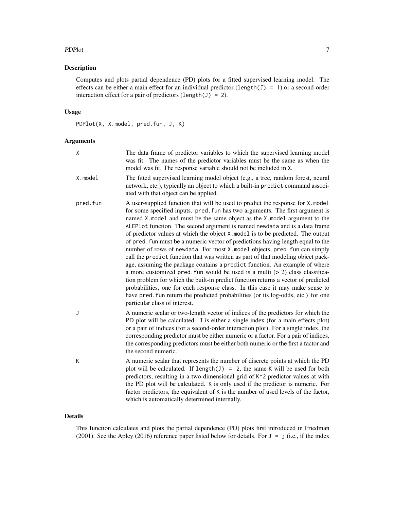#### PDPlot 7

#### Description

Computes and plots partial dependence (PD) plots for a fitted supervised learning model. The effects can be either a main effect for an individual predictor (length(J) = 1) or a second-order interaction effect for a pair of predictors (length(J) = 2).

#### Usage

PDPlot(X, X.model, pred.fun, J, K)

#### Arguments

| X        | The data frame of predictor variables to which the supervised learning model<br>was fit. The names of the predictor variables must be the same as when the<br>model was fit. The response variable should not be included in X.                                                                                                                                                                                                                                                                                                                                                                                                                                                                                                                                                                                                                                                                                                                                                                                                                                                                                                |
|----------|--------------------------------------------------------------------------------------------------------------------------------------------------------------------------------------------------------------------------------------------------------------------------------------------------------------------------------------------------------------------------------------------------------------------------------------------------------------------------------------------------------------------------------------------------------------------------------------------------------------------------------------------------------------------------------------------------------------------------------------------------------------------------------------------------------------------------------------------------------------------------------------------------------------------------------------------------------------------------------------------------------------------------------------------------------------------------------------------------------------------------------|
| X.model  | The fitted supervised learning model object (e.g., a tree, random forest, neural<br>network, etc.), typically an object to which a built-in predict command associ-<br>ated with that object can be applied.                                                                                                                                                                                                                                                                                                                                                                                                                                                                                                                                                                                                                                                                                                                                                                                                                                                                                                                   |
| pred.fun | A user-supplied function that will be used to predict the response for X.model<br>for some specified inputs. pred. fun has two arguments. The first argument is<br>named X.model and must be the same object as the X.model argument to the<br>ALEPlot function. The second argument is named newdata and is a data frame<br>of predictor values at which the object X. model is to be predicted. The output<br>of pred. fun must be a numeric vector of predictions having length equal to the<br>number of rows of newdata. For most X. model objects, pred. fun can simply<br>call the predict function that was written as part of that modeling object pack-<br>age, assuming the package contains a predict function. An example of where<br>a more customized pred. fun would be used is a multi $(> 2)$ class classifica-<br>tion problem for which the built-in predict function returns a vector of predicted<br>probabilities, one for each response class. In this case it may make sense to<br>have pred. fun return the predicted probabilities (or its log-odds, etc.) for one<br>particular class of interest. |
| J        | A numeric scalar or two-length vector of indices of the predictors for which the<br>PD plot will be calculated. J is either a single index (for a main effects plot)<br>or a pair of indices (for a second-order interaction plot). For a single index, the<br>corresponding predictor must be either numeric or a factor. For a pair of indices,<br>the corresponding predictors must be either both numeric or the first a factor and<br>the second numeric.                                                                                                                                                                                                                                                                                                                                                                                                                                                                                                                                                                                                                                                                 |
| K        | A numeric scalar that represents the number of discrete points at which the PD<br>plot will be calculated. If length(J) = 2, the same K will be used for both<br>predictors, resulting in a two-dimensional grid of K <sup>^2</sup> predictor values at with<br>the PD plot will be calculated. K is only used if the predictor is numeric. For<br>factor predictors, the equivalent of K is the number of used levels of the factor,<br>which is automatically determined internally.                                                                                                                                                                                                                                                                                                                                                                                                                                                                                                                                                                                                                                         |

#### Details

This function calculates and plots the partial dependence (PD) plots first introduced in Friedman (2001). See the Apley (2016) reference paper listed below for details. For  $J = j$  (i.e., if the index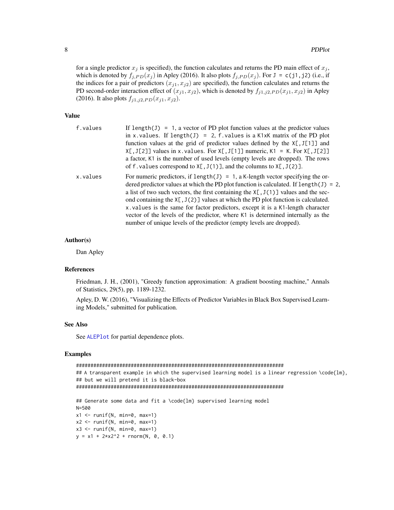<span id="page-7-0"></span>for a single predictor  $x_j$  is specified), the function calculates and returns the PD main effect of  $x_j$ , which is denoted by  $f_{i,PD}(x_i)$  in Apley (2016). It also plots  $f_{i,PD}(x_i)$ . For  $J = c(j1, j2)$  (i.e., if the indices for a pair of predictors  $(x_{j1}, x_{j2})$  are specified), the function calculates and returns the PD second-order interaction effect of  $(x_{j1}, x_{j2})$ , which is denoted by  $f_{j1,j2,PD}(x_{j1}, x_{j2})$  in Apley (2016). It also plots  $f_{j1,j2,PD}(x_{j1}, x_{j2})$ .

#### Value

| f.values | If length(J) = 1, a vector of PD plot function values at the predictor values            |
|----------|------------------------------------------------------------------------------------------|
|          | in x. values. If length(J) = 2, f. values is a K1xK matrix of the PD plot                |
|          | function values at the grid of predictor values defined by the $X[, J[1]]$ and           |
|          | $X[, J[2]]$ values in x. values. For $X[, J[1]]$ numeric, $K1 = K$ . For $X[, J[2]]$     |
|          | a factor, K1 is the number of used levels (empty levels are dropped). The rows           |
|          | of f. values correspond to $X[, J(1)],$ and the columns to $X[, J(2)].$                  |
| x.values | For numeric predictors, if length(J) = 1, a K-length vector specifying the or-           |
|          | dered predictor values at which the PD plot function is calculated. If $length(J) = 2$ , |
|          | a list of two such vectors, the first containing the $X[$ , $J(1)$ ] values and the sec- |
|          | ond containing the $X[, J(2)]$ values at which the PD plot function is calculated.       |
|          | x values is the same for factor predictors, except it is a K1-length character           |
|          | vector of the levels of the predictor, where K1 is determined internally as the          |
|          | number of unique levels of the predictor (empty levels are dropped).                     |

#### Author(s)

Dan Apley

#### References

Friedman, J. H., (2001), "Greedy function approximation: A gradient boosting machine," Annals of Statistics, 29(5), pp. 1189-1232.

Apley, D. W. (2016), "Visualizing the Effects of Predictor Variables in Black Box Supervised Learning Models," submitted for publication.

#### See Also

See [ALEPlot](#page-1-1) for partial dependence plots.

#### Examples

```
########################################################################
## A transparent example in which the supervised learning model is a linear regression \code{lm},
## but we will pretend it is black-box
########################################################################
## Generate some data and fit a \code{lm} supervised learning model
N=500
x1 \leftarrow runif(N, min=0, max=1)x2 \le runif(N, min=0, max=1)
x3 \le runif(N, min=0, max=1)
y = x1 + 2*x2^2 + rnorm(N, 0, 0.1)
```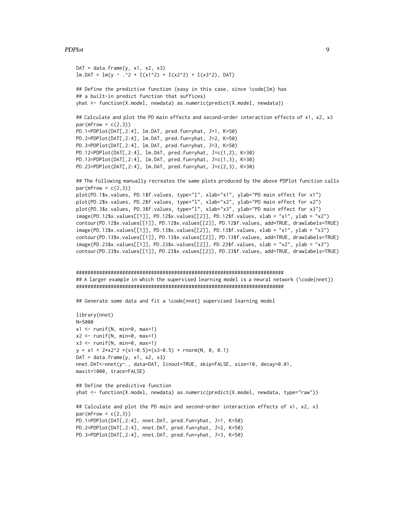#### PDPlot 9

```
DAT = data.frame(y, x1, x2, x3)
lm.DAT = lm(y ~ ~ .~^2 + I(x1^2) + I(x2^2) + I(x3^2), DAT)
## Define the predictive function (easy in this case, since \code{lm} has
## a built-in predict function that suffices)
yhat <- function(X.model, newdata) as.numeric(predict(X.model, newdata))
## Calculate and plot the PD main effects and second-order interaction effects of x1, x2, x3
par(mfrow = c(2,3))PD.1=PDPlot(DAT[,2:4], lm.DAT, pred.fun=yhat, J=1, K=50)
PD.2=PDPlot(DAT[,2:4], lm.DAT, pred.fun=yhat, J=2, K=50)
PD.3=PDPlot(DAT[,2:4], lm.DAT, pred.fun=yhat, J=3, K=50)
PD.12=PDPlot(DAT[,2:4], lm.DAT, pred.fun=yhat, J=c(1,2), K=30)
PD.13=PDPlot(DAT[,2:4], lm.DAT, pred.fun=yhat, J=c(1,3), K=30)
PD.23=PDPlot(DAT[,2:4], lm.DAT, pred.fun=yhat, J=c(2,3), K=30)
## The following manually recreates the same plots produced by the above PDPlot function calls
par(mfrow = c(2,3))plot(PD.1$x.values, PD.1$f.values, type="l", xlab="x1", ylab="PD main effect for x1")
plot(PD.2$x.values, PD.2$f.values, type="l", xlab="x2", ylab="PD main effect for x2")
plot(PD.3$x.values, PD.3$f.values, type="l", xlab="x3", ylab="PD main effect for x3")
image(PD.12$x.values[[1]], PD.12$x.values[[2]], PD.12$f.values, xlab = "x1", ylab = "x2")
contour(PD.12$x.values[[1]], PD.12$x.values[[2]], PD.12$f.values, add=TRUE, drawlabels=TRUE)
image(PD.13$x.values[[1]], PD.13$x.values[[2]], PD.13$f.values, xlab = "x1", ylab = "x3")
contour(PD.13$x.values[[1]], PD.13$x.values[[2]], PD.13$f.values, add=TRUE, drawlabels=TRUE)
image(PD.23$x.values[[1]], PD.23$x.values[[2]], PD.23$f.values, xlab = "x2", ylab = "x3")
contour(PD.23$x.values[[1]], PD.23$x.values[[2]], PD.23$f.values, add=TRUE, drawlabels=TRUE)
########################################################################
## A larger example in which the supervised learning model is a neural network (\code{nnet})
########################################################################
## Generate some data and fit a \code{nnet} supervised learning model
library(nnet)
N=5000
x1 \leftarrow runif(N, min=0, max=1)x2 \le runif(N, min=0, max=1)
x3 \le runif(N, min=0, max=1)
y = x1 + 2*x2^2 + (x1-0.5)*(x3-0.5) + \text{rnorm}(N, 0, 0.1)DAT = data.frame(y, x1, x2, x3)
nnet.DAT<-nnet(y~., data=DAT, linout=TRUE, skip=FALSE, size=10, decay=0.01,
maxit=1000, trace=FALSE)
## Define the predictive function
yhat <- function(X.model, newdata) as.numeric(predict(X.model, newdata, type="raw"))
## Calculate and plot the PD main and second-order interaction effects of x1, x2, x3
par(mfrow = c(2,3))PD.1=PDPlot(DAT[,2:4], nnet.DAT, pred.fun=yhat, J=1, K=50)
PD.2=PDPlot(DAT[,2:4], nnet.DAT, pred.fun=yhat, J=2, K=50)
PD.3=PDPlot(DAT[,2:4], nnet.DAT, pred.fun=yhat, J=3, K=50)
```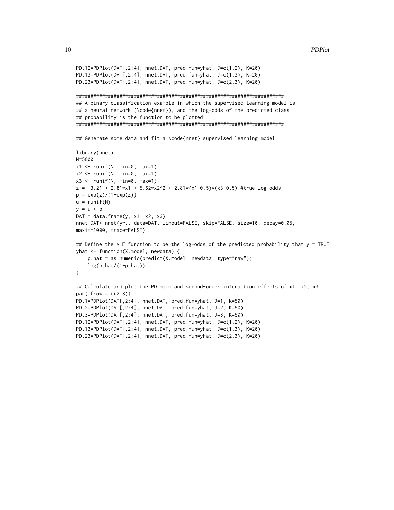```
PD.12=PDPlot(DAT[,2:4], nnet.DAT, pred.fun=yhat, J=c(1,2), K=20)
PD.13=PDPlot(DAT[,2:4], nnet.DAT, pred.fun=yhat, J=c(1,3), K=20)
PD.23=PDPlot(DAT[,2:4], nnet.DAT, pred.fun=yhat, J=c(2,3), K=20)
## A binary classification example in which the supervised learning model is
## a neural network (\code{nnet}), and the log-odds of the predicted class
## probability is the function to be plotted
## Generate some data and fit a \code{nnet} supervised learning model
library(nnet)
N=5000
x1 \leftarrow runif(N, min=0, max=1)x2 \le runif(N, min=0, max=1)
x3 \le runif(N, min=0, max=1)
z = -3.21 + 2.81*x1 + 5.62*x2^2 + 2.81*(x1-0.5)*(x3-0.5)#true log-odds
p = exp(z)/(1+exp(z))u = runif(N)y = u < pDAT = data.frame(y, x1, x2, x3)
nnet.DAT<-nnet(y~., data=DAT, linout=FALSE, skip=FALSE, size=10, decay=0.05,
maxit=1000, trace=FALSE)
## Define the ALE function to be the log-odds of the predicted probability that y = TRUE
yhat <- function(X.model, newdata) {
   p.hat = as.numeric(predict(X.model, newdata, type="raw"))log(p.hat/(1-p.hat))\mathcal{E}## Calculate and plot the PD main and second-order interaction effects of x1, x2, x3
par(mfrow = c(2,3))PD.1=PDPlot(DAT[,2:4], nnet.DAT, pred.fun=yhat, J=1, K=50)
PD.2=PDPlot(DAT[,2:4], nnet.DAT, pred.fun=yhat, J=2, K=50)
PD.3=PDPlot(DAT[,2:4], nnet.DAT, pred.fun=yhat, J=3, K=50)
PD.12=PDPlot(DAT[,2:4], nnet.DAT, pred.fun=yhat, J=c(1,2), K=20)
PD.13=PDPlot(DAT[,2:4], nnet.DAT, pred.fun=yhat, J=c(1,3), K=20)
PD.23=PDPlot(DAT[,2:4], nnet.DAT, pred.fun=yhat, J=c(2,3), K=20)
```
10